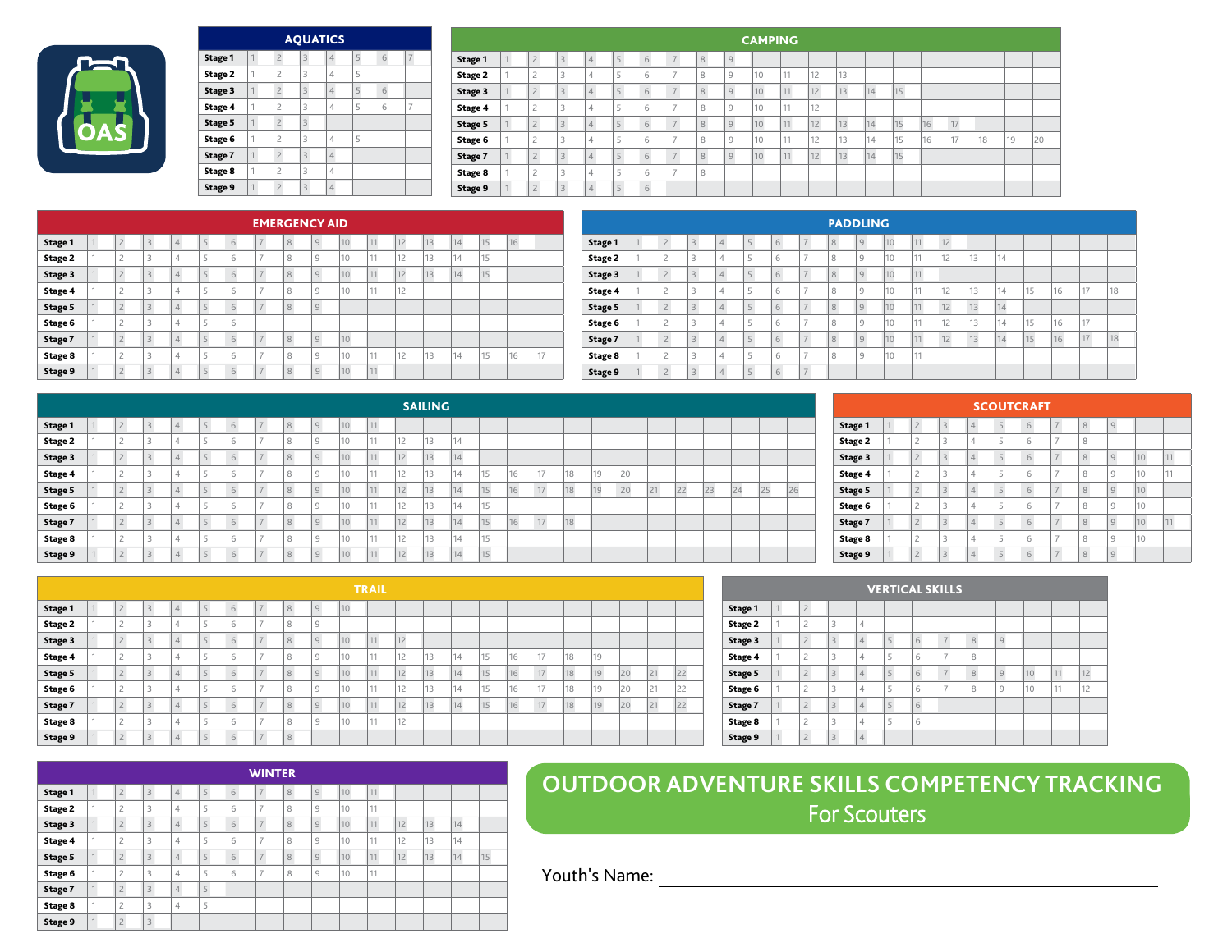|                |   |                | <b>AQUATICS</b> |                |   |   |   |
|----------------|---|----------------|-----------------|----------------|---|---|---|
| <b>Stage 1</b> |   | $\overline{2}$ | 3               | $\overline{4}$ | 5 | 6 | 7 |
| Stage 2        | 1 | $\overline{c}$ | 3               | 4              | 5 |   |   |
| Stage 3        | 1 | $\overline{2}$ | 3               | $\overline{4}$ | 5 | 6 |   |
| Stage 4        | 1 | $\overline{c}$ | 3               | 4              | 5 | 6 | 7 |
| Stage 5        | 1 | $\overline{2}$ | 3               |                |   |   |   |
| Stage 6        | 1 | $\overline{c}$ | 3               | 4              | 5 |   |   |
| Stage 7        | 1 | $\overline{2}$ | 3               | $\overline{4}$ |   |   |   |
| Stage 8        | 1 | $\overline{c}$ | 3               | 4              |   |   |   |
| Stage 9        | 1 | $\overline{2}$ | 3               | $\overline{4}$ |   |   |   |

|                |              |                |                         |                |                |   |               |   |                | <b>CAMPING</b> |    |    |    |    |    |    |    |    |    |    |
|----------------|--------------|----------------|-------------------------|----------------|----------------|---|---------------|---|----------------|----------------|----|----|----|----|----|----|----|----|----|----|
| Stage 1        | $\mathbf{I}$ | $\overline{2}$ | $\overline{3}$          | $\overline{4}$ | 5              | 6 | $\rightarrow$ | 8 | $\mathcal G$   |                |    |    |    |    |    |    |    |    |    |    |
| <b>Stage 2</b> |              | $\overline{c}$ | 3                       | $\overline{4}$ | ÷              | 6 | $\sim$        | 8 | 9              | 10             | 11 | 12 | 13 |    |    |    |    |    |    |    |
| Stage 3        |              | $\overline{2}$ | $\overline{3}$          | $\overline{4}$ | $\overline{a}$ | 6 | $-$           | 8 | $\overline{9}$ | 10             | 11 | 12 | 13 | 14 | 15 |    |    |    |    |    |
| Stage 4        |              | $\overline{c}$ | 3                       | $\overline{4}$ | E.             | 6 |               | 8 | 9              | 10             | 11 | 12 |    |    |    |    |    |    |    |    |
| Stage 5        |              | $\overline{2}$ | $\overline{\mathbf{3}}$ | $\overline{4}$ | 5              | 6 | $-$           | 8 | $\overline{9}$ | 10             | 11 | 12 | 13 | 14 | 15 | 16 | 17 |    |    |    |
| Stage 6        |              | $\overline{c}$ | 3                       | 4              | c              | 6 | -             | 8 | 9              | 10             | 11 | 12 | 13 | 14 | 15 | 16 | 17 | 18 | 19 | 20 |
| Stage 7        |              | $\overline{2}$ | $\overline{3}$          | $\overline{4}$ | 5 <sup>1</sup> | 6 | $-$           | 8 | $\overline{9}$ | 10             | 11 | 12 | 13 | 14 | 15 |    |    |    |    |    |
| Stage 8        |              | $\overline{c}$ | 3                       | 4              | E.             | 6 | -             | 8 |                |                |    |    |    |    |    |    |    |    |    |    |
| Stage 9        |              | $\overline{c}$ | $\overline{3}$          | $\overline{4}$ | $\overline{a}$ | 6 |               |   |                |                |    |    |    |    |    |    |    |    |    |    |

 $\overline{\phantom{0}}$ 

|         |    |                               |                |                |                |   | <b>EMERGENCY AID</b> |   |                |    |           |    |    |    |    |    |    |
|---------|----|-------------------------------|----------------|----------------|----------------|---|----------------------|---|----------------|----|-----------|----|----|----|----|----|----|
| Stage 1 |    | $\overline{c}$                | 3              | 4              | $\mathbb{R}$   | 6 | $-$                  | 8 | 9              | 10 | 11        | 12 | 13 | 14 | 15 | 16 |    |
| Stage 2 |    | $\overline{c}$                | 3              | 4              | 5              | 6 | $-$                  | 8 | 9              | 10 | 11        | 12 | 13 | 14 | 15 |    |    |
| Stage 3 |    | $\overline{c}$                | $\overline{3}$ | 4              | $\mathbb{R}$   | 6 | $\rightarrow$        | 8 | 9              | 10 | 11<br>. . | 12 | 13 | 14 | 15 |    |    |
| Stage 4 | ×, | $\overline{c}$                | 3              | 4              | 5              | 6 | $-$                  | 8 | 9              | 10 | 11        | 12 |    |    |    |    |    |
| Stage 5 |    | $\overline{c}$                | 3              | 4              | $\overline{a}$ | 6 | $\rightarrow$        | 8 | 9              |    |           |    |    |    |    |    |    |
| Stage 6 |    | $\overline{c}$                | 3              | 4              | Ę              | 6 |                      |   |                |    |           |    |    |    |    |    |    |
| Stage 7 |    | $\overline{c}$                | $\overline{3}$ | 4              | 5              | 6 | $\rightarrow$        | 8 | 9              | 10 |           |    |    |    |    |    |    |
| Stage 8 | ×, | $\overline{c}$                | 3              | 4              | 5              | 6 | $\rightarrow$        | 8 | 9              | 10 | 11        | 12 | 13 | 14 | 15 | 16 | 17 |
| Stage 9 |    | $\overline{\phantom{0}}$<br>ı | 3              | $\overline{4}$ | $\overline{a}$ | 6 | $\rightarrow$        | 8 | $\overline{9}$ | 10 | 11        |    |    |    |    |    |    |

|         |    |                |                |                          |                 |                 |                |   | <b>PADDLING</b> |           |    |    |    |    |    |    |    |    |
|---------|----|----------------|----------------|--------------------------|-----------------|-----------------|----------------|---|-----------------|-----------|----|----|----|----|----|----|----|----|
| Stage 1 |    | $\overline{2}$ | $\overline{3}$ | $\overline{4}$           | $\overline{5}$  | $6\overline{6}$ | $\overline{z}$ | 8 | 9               | 10        | 11 | 12 |    |    |    |    |    |    |
| Stage 2 |    | ı              | 3              | 4                        | 5               | 6               | $\rightarrow$  | 8 | 9               | $10^{-1}$ | 11 | 12 | 13 | 14 |    |    |    |    |
| Stage 3 |    | $\overline{2}$ | $\overline{3}$ | 4                        | 5               | 6               | $\overline{z}$ | 8 | 9               | 10        | 11 |    |    |    |    |    |    |    |
| Stage 4 | ×. | ∠              | 3              | 4                        | 5               | 6               | $\rightarrow$  | 8 | 9               | $10^{-1}$ | 11 | 12 | 13 | 14 | 15 | 16 | 17 | 18 |
| Stage 5 |    | $\overline{2}$ | $\overline{3}$ | 4                        | 5               | 6               | $\overline{z}$ | 8 | 9               | 10        | 11 | 12 | 13 | 14 |    |    |    |    |
| Stage 6 | ×. | C.<br>ı        | 3              | 4                        | 5               | 6               | -              | 8 | 9               | 10        | 11 | 12 | 13 | 14 | 15 | 16 | 17 |    |
| Stage 7 |    | $\overline{2}$ | $\overline{3}$ |                          | 5               | 6               | $\rightarrow$  | 8 | 9               | 10        | 11 | 12 | 13 | 14 | 15 | 16 | 17 | 18 |
| Stage 8 | 4  | n              | 3              | 4                        | 5               | 6               | $\rightarrow$  | 8 | 9               | 10        | 11 |    |    |    |    |    |    |    |
| Stage 9 |    | $\overline{c}$ | 3              | $\overline{\mathcal{A}}$ | $5\overline{5}$ | 6               | $\overline{7}$ |   |                 |           |    |    |    |    |    |    |    |    |

|                |                                        |                |   |                |                  |                     |              |                |    |          |    | <b>SAILING</b> |    |    |    |    |    |    |    |    |    |    |    |    |    |
|----------------|----------------------------------------|----------------|---|----------------|------------------|---------------------|--------------|----------------|----|----------|----|----------------|----|----|----|----|----|----|----|----|----|----|----|----|----|
| <b>Stage 1</b> | $\overline{\phantom{0}}$<br>$\sim$     | $\overline{3}$ |   | $\mathbb{R}^+$ | 6                | $-$                 | 8            | $\overline{9}$ | 10 | 11       |    |                |    |    |    |    |    |    |    |    |    |    |    |    |    |
| Stage 2        | ∼                                      | 3              | ≖ |                | 6                | <b>The Contract</b> | 8            | 9              | 10 | 11       | 12 | 13             | 14 |    |    |    |    |    |    |    |    |    |    |    |    |
| Stage 3        | $\overline{\phantom{0}}$<br>$\sqrt{2}$ | $\mathfrak{D}$ |   |                | 6                | $\sim$              | $\circ$      | $\overline{9}$ | 10 | A        | 12 | 13             | 14 |    |    |    |    |    |    |    |    |    |    |    |    |
| Stage 4        | <u>.</u>                               | 3              | ≖ |                | 6                | <b>The Contract</b> | 8            | 9              | 10 | A<br>. . | 12 | 13             | 14 | 15 | 16 | 17 | 18 | 19 | 20 |    |    |    |    |    |    |
| Stage 5        | $\sim$<br>$\epsilon$                   | $\overline{3}$ | ≖ |                | 6                | $-$                 | 8            | $\overline{9}$ | 10 | A        | 12 | 13             | 14 | 15 | 16 | 17 | 18 | 19 | 20 | 21 | 22 | 23 | 24 | 25 | 26 |
| Stage 6        | <u>.</u>                               | 3              | д |                | 6                | <b>STAR</b>         | 8            | 9              | 10 | 11       | 12 | 13             | 14 | 15 |    |    |    |    |    |    |    |    |    |    |    |
| Stage 7        | $\sim$<br>$\sim$                       | $\sim$<br>3    |   |                | 6                | <b>Service</b>      | $\circ$<br>ਨ | $\overline{9}$ | 10 | A        | 12 | 13             | 14 | 15 | 16 | 17 | 18 |    |    |    |    |    |    |    |    |
| Stage 8        |                                        | 3              | д |                | 6                | <b>STAR</b>         | $\circ$<br>ŏ | 9              | 10 | $A - A$  | 12 | 13             | 14 | 15 |    |    |    |    |    |    |    |    |    |    |    |
| Stage 9        | $\sim$                                 | $\supset$      |   |                | $6 \overline{6}$ | $-$                 | $\circ$      | $\circ$        | 10 | $A - A$  | 12 | 13             | 14 | 15 |    |    |    |    |    |    |    |    |    |    |    |

|                |                |                |   |                |                | <b>SCOUTCRAFT</b> |                |   |   |    |    |
|----------------|----------------|----------------|---|----------------|----------------|-------------------|----------------|---|---|----|----|
| <b>Stage 1</b> |                | $\overline{2}$ | 3 | $\overline{4}$ | 5              | 6                 | $\overline{7}$ | 8 | 9 |    |    |
| <b>Stage 2</b> | d              | $\overline{c}$ | 3 | $\overline{4}$ | 5              | 6                 | 7              | 8 |   |    |    |
| Stage 3        | $\overline{A}$ | $\overline{2}$ | 3 | $\overline{4}$ | $\overline{5}$ | 6                 | $\overline{7}$ | 8 | 9 | 10 | 11 |
| Stage 4        | ٠              | $\overline{c}$ | 3 | $\overline{4}$ | 5              | 6                 | 7              | 8 | 9 | 10 | 11 |
| Stage 5        | $\overline{1}$ | $\overline{2}$ | 3 | $\overline{4}$ | 5              | 6                 | $\overline{7}$ | 8 | 9 | 10 |    |
| Stage 6        | ٠              | $\overline{c}$ | 3 | $\overline{4}$ | 5              | 6                 | 7              | 8 | 9 | 10 |    |
| Stage 7        | $\overline{a}$ | $\overline{2}$ | 3 | $\overline{4}$ | 5              | 6                 | $\overline{7}$ | 8 | 9 | 10 | 11 |
| Stage 8        | ٠              | $\overline{c}$ | 3 | $\overline{4}$ | 5              | 6                 | 7              | 8 | 9 | 10 |    |
| Stage 9        | $\overline{1}$ | $\overline{2}$ | 3 | $\overline{4}$ | 5              | 6                 | $\overline{7}$ | 8 | 9 |    |    |

|         |                               |                |    |   |                     |   |                |    | <b>TRAIL</b> |    |    |    |    |    |    |    |    |    |    |    |
|---------|-------------------------------|----------------|----|---|---------------------|---|----------------|----|--------------|----|----|----|----|----|----|----|----|----|----|----|
| Stage 1 | $\sim$                        | $\overline{4}$ | E. | 6 | $\overline{z}$      | 8 | $\overline{9}$ | 10 |              |    |    |    |    |    |    |    |    |    |    |    |
| Stage 2 |                               | 4              |    | 6 |                     | 8 | $\overline{9}$ |    |              |    |    |    |    |    |    |    |    |    |    |    |
| Stage 3 | $\sim$                        | $\overline{4}$ | е  | 6 | $\overline{z}$      | 8 | $\overline{9}$ | 10 | 11           | 12 |    |    |    |    |    |    |    |    |    |    |
| Stage 4 | $\sim$                        | 4              |    | 6 | $\sim$              | 8 | $\overline{9}$ | 10 | 44           | 12 | 13 | 14 | 15 | 16 | 17 | 18 | 19 |    |    |    |
| Stage 5 | $\sim$<br>$\sim$              | $\overline{4}$ | L. | 6 | $-$                 | 8 | $\overline{9}$ | 10 | 11           | 12 | 13 | 14 | 15 | 16 | 17 | 18 | 19 | 20 | 21 | 22 |
| Stage 6 | $\overline{\phantom{a}}$<br>← | 4              |    | 6 |                     | 8 | 9              | 10 | 44           | 12 | 13 | 14 | 15 | 16 | 17 | 18 | 19 | 20 | 21 | 22 |
| Stage 7 | $\sim$<br>$\epsilon$          | $\overline{4}$ |    | 6 | $\rightarrow$       | 8 | $\overline{9}$ | 10 | 11           | 12 | 13 | 14 | 15 | 16 | 17 | 18 | 19 | 20 | 21 | 22 |
| Stage 8 | $\overline{\phantom{a}}$      | 4              | ÷  | 6 | <b>The Contract</b> | 8 | 9              | 10 | 44           | 12 |    |    |    |    |    |    |    |    |    |    |
| Stage 9 | $\sim$                        | $\overline{4}$ |    | 6 | $-4$                | 8 |                |    |              |    |    |    |    |    |    |    |    |    |    |    |

|                |                |                |                         |                |   | <b>VERTICAL SKILLS</b> |                |   |   |    |    |    |
|----------------|----------------|----------------|-------------------------|----------------|---|------------------------|----------------|---|---|----|----|----|
| Stage 1        |                | $\overline{2}$ |                         |                |   |                        |                |   |   |    |    |    |
| <b>Stage 2</b> | 1              | $\overline{c}$ | 3                       | $\overline{4}$ |   |                        |                |   |   |    |    |    |
| Stage 3        | $\mathbf{I}$   | $\overline{2}$ | $\overline{\mathbf{3}}$ | $\overline{4}$ | 5 | 6                      | $\overline{7}$ | 8 | 9 |    |    |    |
| Stage 4        | 1              | $\overline{c}$ | 3                       | $\overline{4}$ | 5 | 6                      | $\overline{7}$ | 8 |   |    |    |    |
| Stage 5        |                | $\overline{2}$ | 3                       | $\overline{4}$ | 5 | 6                      | $\overline{7}$ | 8 | 9 | 10 | 11 | 12 |
| Stage 6        | 1              | $\overline{c}$ | 3                       | $\overline{4}$ | 5 | 6                      | 7              | 8 | 9 | 10 | 11 | 12 |
| Stage 7        | $\overline{1}$ | $\overline{2}$ | $\overline{\mathbf{3}}$ | $\overline{4}$ | 5 | 6                      |                |   |   |    |    |    |
| Stage 8        | 1              | $\overline{c}$ | 3                       | $\overline{4}$ | 5 | 6                      |                |   |   |    |    |    |
| Stage 9        |                | $\overline{2}$ | 3                       | $\overline{4}$ |   |                        |                |   |   |    |    |    |

|                |                    |                         |                |   |   | <b>WINTER</b>  |   |                |    |          |    |    |    |    |
|----------------|--------------------|-------------------------|----------------|---|---|----------------|---|----------------|----|----------|----|----|----|----|
| Stage 1        | $\overline{2}$     | $\overline{3}$          | $\overline{4}$ | 5 | 6 | 7              | 8 | $\overline{9}$ | 10 | 11       |    |    |    |    |
| <b>Stage 2</b> | $\mathcal{D}$<br>∠ | 3                       | 4              | 5 | 6 | $\overline{7}$ | 8 | 9              | 10 | 11       |    |    |    |    |
| Stage 3        | $\supset$<br>L     | $\overline{3}$          | $\overline{4}$ | 5 | 6 | $\overline{7}$ | 8 | 9              | 10 | 11       | 12 | 13 | 14 |    |
| Stage 4        | $\overline{c}$     | 3                       | 4              | 5 | 6 | $\overline{7}$ | 8 | 9              | 10 | 11       | 12 | 13 | 14 |    |
| Stage 5        | $\overline{2}$     | $\overline{\mathbf{3}}$ | $\overline{4}$ | 5 | 6 | $\overline{7}$ | 8 | 9              | 10 | 11<br>H. | 12 | 13 | 14 | 15 |
| Stage 6        | $\overline{c}$     | 3                       | 4              | 5 | 6 | $\overline{ }$ | 8 | 9              | 10 | 11       |    |    |    |    |
| Stage 7        | $\overline{2}$     | $\overline{3}$          | $\overline{4}$ | 5 |   |                |   |                |    |          |    |    |    |    |
| Stage 8        | $\overline{c}$     | 3                       | 4              | 5 |   |                |   |                |    |          |    |    |    |    |
| Stage 9        | $\overline{c}$     | $\overline{3}$          |                |   |   |                |   |                |    |          |    |    |    |    |

## **OUTDOOR ADVENTURE SKILLS COMPETENCY TRACKING** For Scouters

Youth's Name: